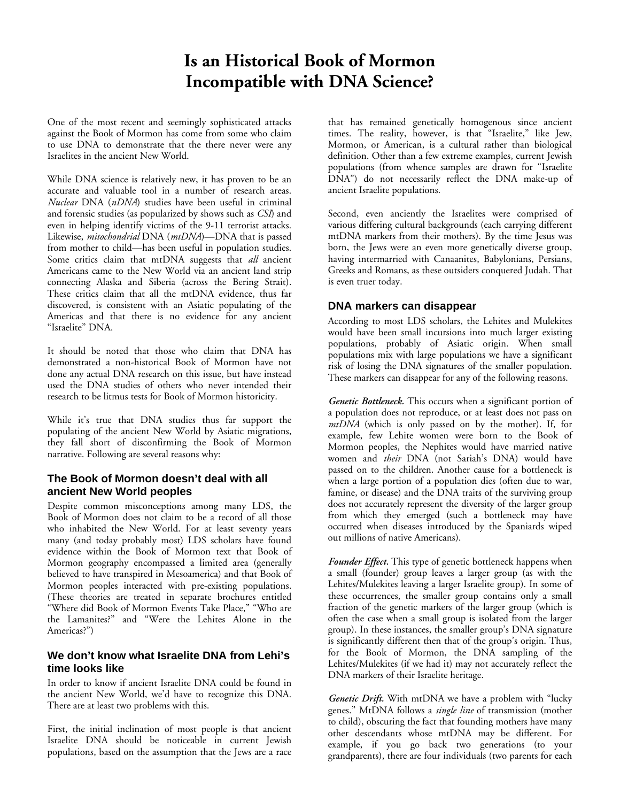# **Is an Historical Book of Mormon Incompatible with DNA Science?**

One of the most recent and seemingly sophisticated attacks against the Book of Mormon has come from some who claim to use DNA to demonstrate that the there never were any Israelites in the ancient New World.

While DNA science is relatively new, it has proven to be an accurate and valuable tool in a number of research areas. *Nuclear* DNA (*nDNA*) studies have been useful in criminal and forensic studies (as popularized by shows such as *CSI*) and even in helping identify victims of the 9-11 terrorist attacks. Likewise, *mitochondrial* DNA (*mtDNA*)—DNA that is passed from mother to child—has been useful in population studies. Some critics claim that mtDNA suggests that *all* ancient Americans came to the New World via an ancient land strip connecting Alaska and Siberia (across the Bering Strait). These critics claim that all the mtDNA evidence, thus far discovered, is consistent with an Asiatic populating of the Americas and that there is no evidence for any ancient "Israelite" DNA.

It should be noted that those who claim that DNA has demonstrated a non-historical Book of Mormon have not done any actual DNA research on this issue, but have instead used the DNA studies of others who never intended their research to be litmus tests for Book of Mormon historicity.

While it's true that DNA studies thus far support the populating of the ancient New World by Asiatic migrations, they fall short of disconfirming the Book of Mormon narrative. Following are several reasons why:

### **The Book of Mormon doesn't deal with all ancient New World peoples**

Despite common misconceptions among many LDS, the Book of Mormon does not claim to be a record of all those who inhabited the New World. For at least seventy years many (and today probably most) LDS scholars have found evidence within the Book of Mormon text that Book of Mormon geography encompassed a limited area (generally believed to have transpired in Mesoamerica) and that Book of Mormon peoples interacted with pre-existing populations. (These theories are treated in separate brochures entitled "Where did Book of Mormon Events Take Place," "Who are the Lamanites?" and "Were the Lehites Alone in the Americas?")

# **We don't know what Israelite DNA from Lehi's time looks like**

In order to know if ancient Israelite DNA could be found in the ancient New World, we'd have to recognize this DNA. There are at least two problems with this.

First, the initial inclination of most people is that ancient Israelite DNA should be noticeable in current Jewish populations, based on the assumption that the Jews are a race that has remained genetically homogenous since ancient times. The reality, however, is that "Israelite," like Jew, Mormon, or American, is a cultural rather than biological definition. Other than a few extreme examples, current Jewish populations (from whence samples are drawn for "Israelite DNA") do not necessarily reflect the DNA make-up of ancient Israelite populations.

Second, even anciently the Israelites were comprised of various differing cultural backgrounds (each carrying different mtDNA markers from their mothers). By the time Jesus was born, the Jews were an even more genetically diverse group, having intermarried with Canaanites, Babylonians, Persians, Greeks and Romans, as these outsiders conquered Judah. That is even truer today.

# **DNA markers can disappear**

According to most LDS scholars, the Lehites and Mulekites would have been small incursions into much larger existing populations, probably of Asiatic origin. When small populations mix with large populations we have a significant risk of losing the DNA signatures of the smaller population. These markers can disappear for any of the following reasons.

*Genetic Bottleneck.* This occurs when a significant portion of a population does not reproduce, or at least does not pass on *mtDNA* (which is only passed on by the mother). If, for example, few Lehite women were born to the Book of Mormon peoples, the Nephites would have married native women and *their* DNA (not Sariah's DNA) would have passed on to the children. Another cause for a bottleneck is when a large portion of a population dies (often due to war, famine, or disease) and the DNA traits of the surviving group does not accurately represent the diversity of the larger group from which they emerged (such a bottleneck may have occurred when diseases introduced by the Spaniards wiped out millions of native Americans).

*Founder Effect.* This type of genetic bottleneck happens when a small (founder) group leaves a larger group (as with the Lehites/Mulekites leaving a larger Israelite group). In some of these occurrences, the smaller group contains only a small fraction of the genetic markers of the larger group (which is often the case when a small group is isolated from the larger group). In these instances, the smaller group's DNA signature is significantly different then that of the group's origin. Thus, for the Book of Mormon, the DNA sampling of the Lehites/Mulekites (if we had it) may not accurately reflect the DNA markers of their Israelite heritage.

*Genetic Drift.* With mtDNA we have a problem with "lucky genes." MtDNA follows a *single line* of transmission (mother to child), obscuring the fact that founding mothers have many other descendants whose mtDNA may be different. For example, if you go back two generations (to your grandparents), there are four individuals (two parents for each